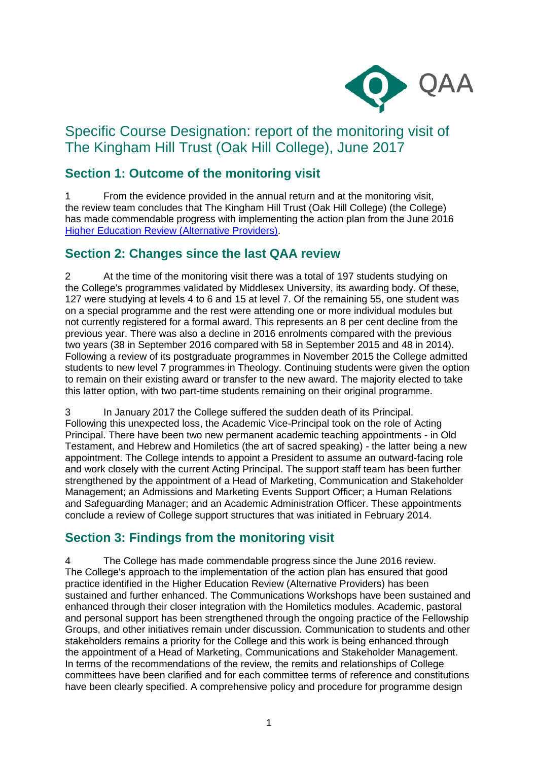

# Specific Course Designation: report of the monitoring visit of The Kingham Hill Trust (Oak Hill College), June 2017

## **Section 1: Outcome of the monitoring visit**

1 From the evidence provided in the annual return and at the monitoring visit, the review team concludes that The Kingham Hill Trust (Oak Hill College) (the College) has made commendable progress with implementing the action plan from the June 2016 [Higher Education Review \(Alternative Providers\).](http://www.qaa.ac.uk/reviews-and-reports/provider?UKPRN=10010227)

### **Section 2: Changes since the last QAA review**

2 At the time of the monitoring visit there was a total of 197 students studying on the College's programmes validated by Middlesex University, its awarding body. Of these, 127 were studying at levels 4 to 6 and 15 at level 7. Of the remaining 55, one student was on a special programme and the rest were attending one or more individual modules but not currently registered for a formal award. This represents an 8 per cent decline from the previous year. There was also a decline in 2016 enrolments compared with the previous two years (38 in September 2016 compared with 58 in September 2015 and 48 in 2014). Following a review of its postgraduate programmes in November 2015 the College admitted students to new level 7 programmes in Theology. Continuing students were given the option to remain on their existing award or transfer to the new award. The majority elected to take this latter option, with two part-time students remaining on their original programme.

3 In January 2017 the College suffered the sudden death of its Principal. Following this unexpected loss, the Academic Vice-Principal took on the role of Acting Principal. There have been two new permanent academic teaching appointments - in Old Testament, and Hebrew and Homiletics (the art of sacred speaking) - the latter being a new appointment. The College intends to appoint a President to assume an outward-facing role and work closely with the current Acting Principal. The support staff team has been further strengthened by the appointment of a Head of Marketing, Communication and Stakeholder Management; an Admissions and Marketing Events Support Officer; a Human Relations and Safeguarding Manager; and an Academic Administration Officer. These appointments conclude a review of College support structures that was initiated in February 2014.

### **Section 3: Findings from the monitoring visit**

The College has made commendable progress since the June 2016 review. The College's approach to the implementation of the action plan has ensured that good practice identified in the Higher Education Review (Alternative Providers) has been sustained and further enhanced. The Communications Workshops have been sustained and enhanced through their closer integration with the Homiletics modules. Academic, pastoral and personal support has been strengthened through the ongoing practice of the Fellowship Groups, and other initiatives remain under discussion. Communication to students and other stakeholders remains a priority for the College and this work is being enhanced through the appointment of a Head of Marketing, Communications and Stakeholder Management. In terms of the recommendations of the review, the remits and relationships of College committees have been clarified and for each committee terms of reference and constitutions have been clearly specified. A comprehensive policy and procedure for programme design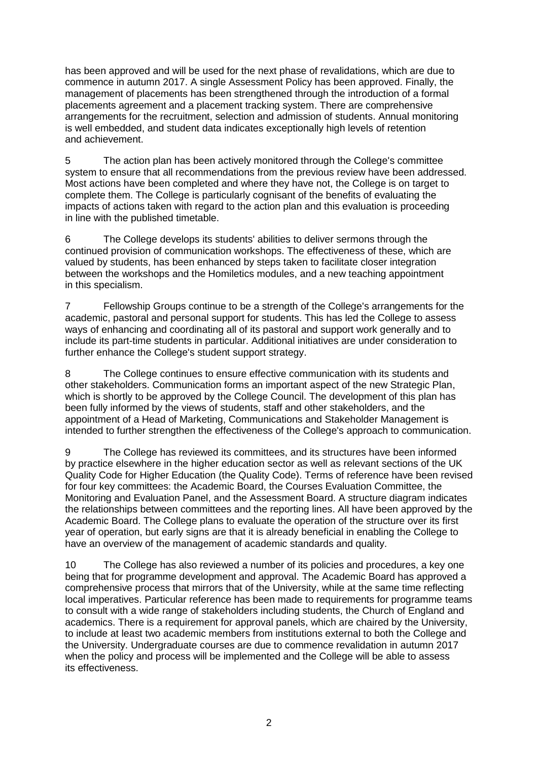has been approved and will be used for the next phase of revalidations, which are due to commence in autumn 2017. A single Assessment Policy has been approved. Finally, the management of placements has been strengthened through the introduction of a formal placements agreement and a placement tracking system. There are comprehensive arrangements for the recruitment, selection and admission of students. Annual monitoring is well embedded, and student data indicates exceptionally high levels of retention and achievement.

5 The action plan has been actively monitored through the College's committee system to ensure that all recommendations from the previous review have been addressed. Most actions have been completed and where they have not, the College is on target to complete them. The College is particularly cognisant of the benefits of evaluating the impacts of actions taken with regard to the action plan and this evaluation is proceeding in line with the published timetable.

6 The College develops its students' abilities to deliver sermons through the continued provision of communication workshops. The effectiveness of these, which are valued by students, has been enhanced by steps taken to facilitate closer integration between the workshops and the Homiletics modules, and a new teaching appointment in this specialism.

7 Fellowship Groups continue to be a strength of the College's arrangements for the academic, pastoral and personal support for students. This has led the College to assess ways of enhancing and coordinating all of its pastoral and support work generally and to include its part-time students in particular. Additional initiatives are under consideration to further enhance the College's student support strategy.

8 The College continues to ensure effective communication with its students and other stakeholders. Communication forms an important aspect of the new Strategic Plan, which is shortly to be approved by the College Council. The development of this plan has been fully informed by the views of students, staff and other stakeholders, and the appointment of a Head of Marketing, Communications and Stakeholder Management is intended to further strengthen the effectiveness of the College's approach to communication.

9 The College has reviewed its committees, and its structures have been informed by practice elsewhere in the higher education sector as well as relevant sections of the UK Quality Code for Higher Education (the Quality Code). Terms of reference have been revised for four key committees: the Academic Board, the Courses Evaluation Committee, the Monitoring and Evaluation Panel, and the Assessment Board. A structure diagram indicates the relationships between committees and the reporting lines. All have been approved by the Academic Board. The College plans to evaluate the operation of the structure over its first year of operation, but early signs are that it is already beneficial in enabling the College to have an overview of the management of academic standards and quality.

10 The College has also reviewed a number of its policies and procedures, a key one being that for programme development and approval. The Academic Board has approved a comprehensive process that mirrors that of the University, while at the same time reflecting local imperatives. Particular reference has been made to requirements for programme teams to consult with a wide range of stakeholders including students, the Church of England and academics. There is a requirement for approval panels, which are chaired by the University, to include at least two academic members from institutions external to both the College and the University. Undergraduate courses are due to commence revalidation in autumn 2017 when the policy and process will be implemented and the College will be able to assess its effectiveness.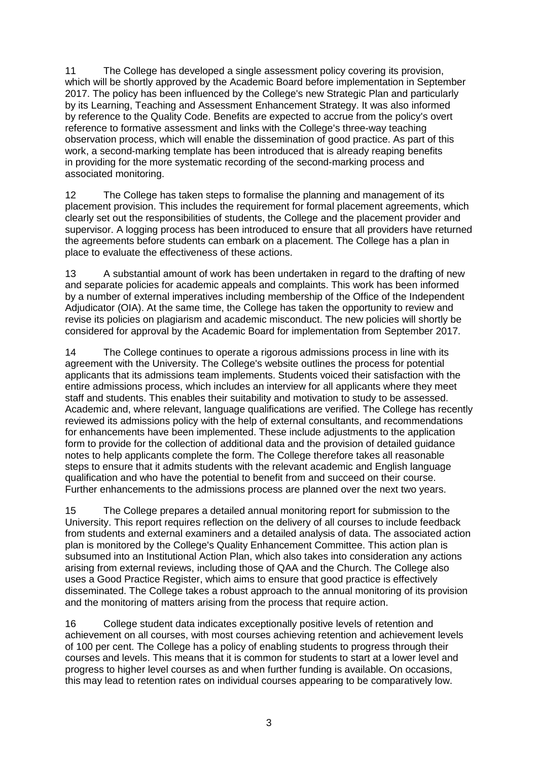11 The College has developed a single assessment policy covering its provision, which will be shortly approved by the Academic Board before implementation in September 2017. The policy has been influenced by the College's new Strategic Plan and particularly by its Learning, Teaching and Assessment Enhancement Strategy. It was also informed by reference to the Quality Code. Benefits are expected to accrue from the policy's overt reference to formative assessment and links with the College's three-way teaching observation process, which will enable the dissemination of good practice. As part of this work, a second-marking template has been introduced that is already reaping benefits in providing for the more systematic recording of the second-marking process and associated monitoring.

12 The College has taken steps to formalise the planning and management of its placement provision. This includes the requirement for formal placement agreements, which clearly set out the responsibilities of students, the College and the placement provider and supervisor. A logging process has been introduced to ensure that all providers have returned the agreements before students can embark on a placement. The College has a plan in place to evaluate the effectiveness of these actions.

13 A substantial amount of work has been undertaken in regard to the drafting of new and separate policies for academic appeals and complaints. This work has been informed by a number of external imperatives including membership of the Office of the Independent Adjudicator (OIA). At the same time, the College has taken the opportunity to review and revise its policies on plagiarism and academic misconduct. The new policies will shortly be considered for approval by the Academic Board for implementation from September 2017.

14 The College continues to operate a rigorous admissions process in line with its agreement with the University. The College's website outlines the process for potential applicants that its admissions team implements. Students voiced their satisfaction with the entire admissions process, which includes an interview for all applicants where they meet staff and students. This enables their suitability and motivation to study to be assessed. Academic and, where relevant, language qualifications are verified. The College has recently reviewed its admissions policy with the help of external consultants, and recommendations for enhancements have been implemented. These include adjustments to the application form to provide for the collection of additional data and the provision of detailed guidance notes to help applicants complete the form. The College therefore takes all reasonable steps to ensure that it admits students with the relevant academic and English language qualification and who have the potential to benefit from and succeed on their course. Further enhancements to the admissions process are planned over the next two years.

15 The College prepares a detailed annual monitoring report for submission to the University. This report requires reflection on the delivery of all courses to include feedback from students and external examiners and a detailed analysis of data. The associated action plan is monitored by the College's Quality Enhancement Committee. This action plan is subsumed into an Institutional Action Plan, which also takes into consideration any actions arising from external reviews, including those of QAA and the Church. The College also uses a Good Practice Register, which aims to ensure that good practice is effectively disseminated. The College takes a robust approach to the annual monitoring of its provision and the monitoring of matters arising from the process that require action.

16 College student data indicates exceptionally positive levels of retention and achievement on all courses, with most courses achieving retention and achievement levels of 100 per cent. The College has a policy of enabling students to progress through their courses and levels. This means that it is common for students to start at a lower level and progress to higher level courses as and when further funding is available. On occasions, this may lead to retention rates on individual courses appearing to be comparatively low.